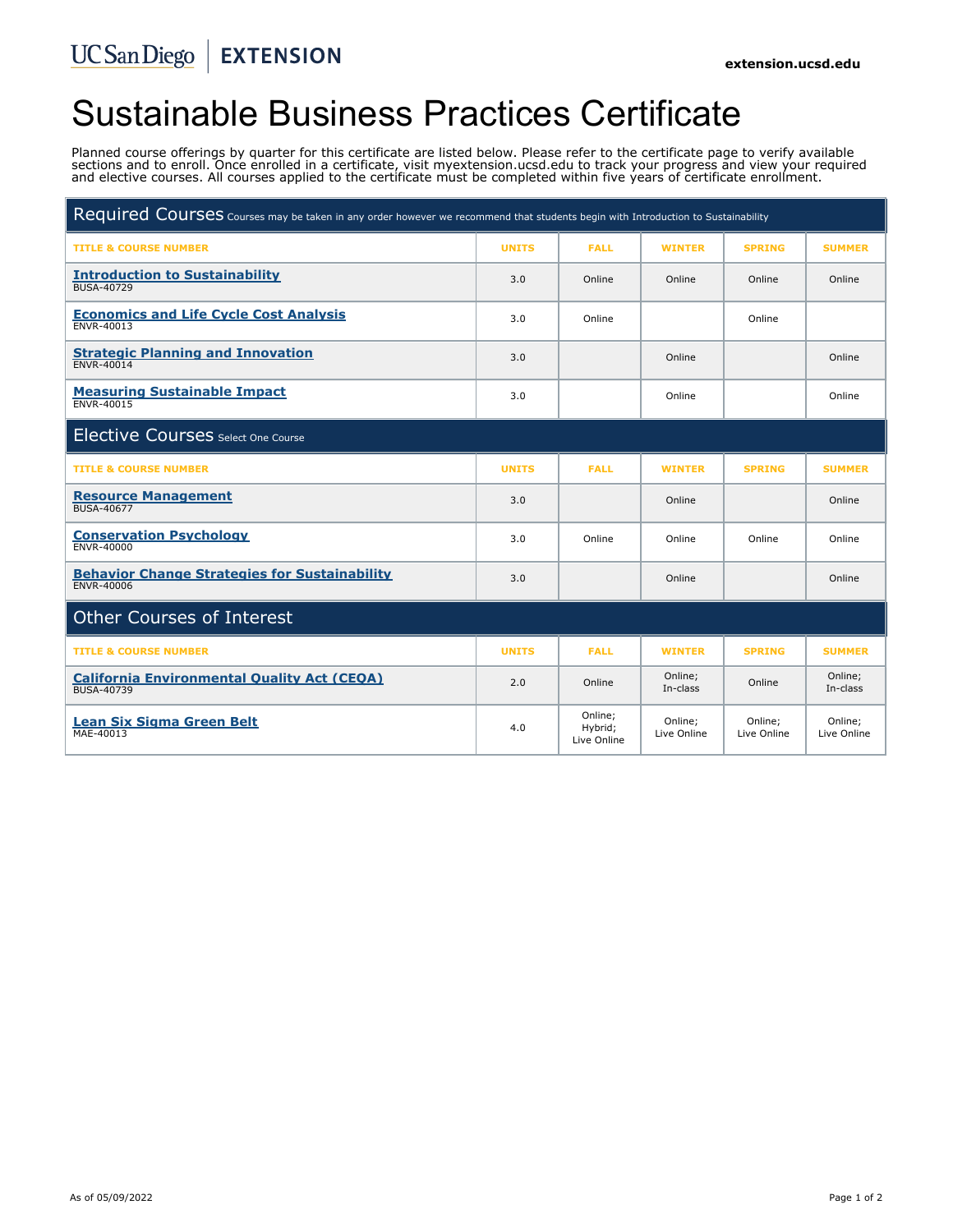# Sustainable Business Practices Certificate

Planned course offerings by quarter for this certificate are listed below. Please refer to the certificate page to verify available sections and to enroll. Once enrolled in a certificate, visit myextension.ucsd.edu to track your progress and view your required and elective courses. All courses applied to the certificate must be completed within five years of certificate enrollment.

| Required Courses courses may be taken in any order however we recommend that students begin with Introduction to Sustainability |              |                                   |                        |                        |                        |
|---------------------------------------------------------------------------------------------------------------------------------|--------------|-----------------------------------|------------------------|------------------------|------------------------|
| <b>TITLE &amp; COURSE NUMBER</b>                                                                                                | <b>UNITS</b> | <b>FALL</b>                       | <b>WINTER</b>          | <b>SPRING</b>          | <b>SUMMER</b>          |
| <b>Introduction to Sustainability</b><br><b>BUSA-40729</b>                                                                      | 3.0          | Online                            | Online                 | Online                 | Online                 |
| <b>Economics and Life Cycle Cost Analysis</b><br><b>ENVR-40013</b>                                                              | 3.0          | Online                            |                        | Online                 |                        |
| <b>Strategic Planning and Innovation</b><br><b>ENVR-40014</b>                                                                   | 3.0          |                                   | Online                 |                        | Online                 |
| <b>Measuring Sustainable Impact</b><br><b>ENVR-40015</b>                                                                        | 3.0          |                                   | Online                 |                        | Online                 |
| Elective Courses Select One Course                                                                                              |              |                                   |                        |                        |                        |
| <b>TITLE &amp; COURSE NUMBER</b>                                                                                                | <b>UNITS</b> | <b>FALL</b>                       | <b>WINTER</b>          | <b>SPRING</b>          | <b>SUMMER</b>          |
| <b>Resource Management</b><br><b>BUSA-40677</b>                                                                                 | 3.0          |                                   | Online                 |                        | Online                 |
| <b>Conservation Psychology</b><br><b>ENVR-40000</b>                                                                             | 3.0          | Online                            | Online                 | Online                 | Online                 |
| <b>Behavior Change Strategies for Sustainability</b><br><b>ENVR-40006</b>                                                       | 3.0          |                                   | Online                 |                        | Online                 |
| <b>Other Courses of Interest</b>                                                                                                |              |                                   |                        |                        |                        |
| <b>TITLE &amp; COURSE NUMBER</b>                                                                                                | <b>UNITS</b> | <b>FALL</b>                       | <b>WINTER</b>          | <b>SPRING</b>          | <b>SUMMER</b>          |
| <b>California Environmental Quality Act (CEOA)</b><br>BUSA-40739                                                                | 2.0          | Online                            | Online;<br>In-class    | Online                 | Online;<br>In-class    |
| <b>Lean Six Sigma Green Belt</b><br>MAE-40013                                                                                   | 4.0          | Online;<br>Hybrid;<br>Live Online | Online:<br>Live Online | Online:<br>Live Online | Online:<br>Live Online |